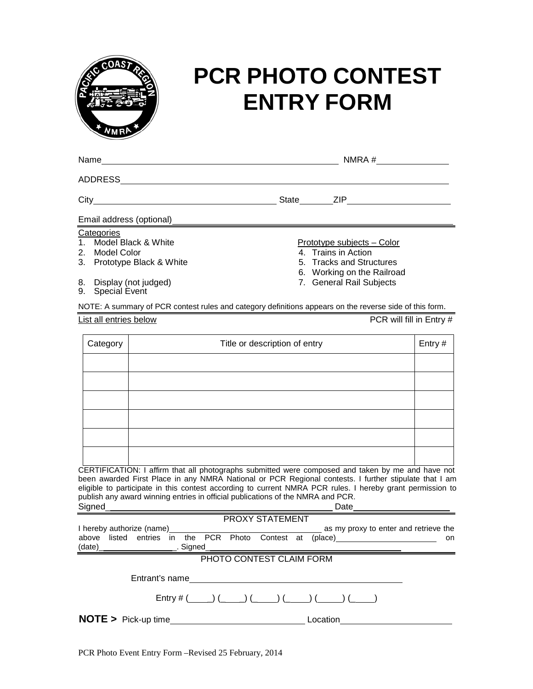

## **PCR PHOTO CONTEST ENTRY FORM**

| Name                                                                                                                                                                                                                                                                                                                                                                                                                         |                               | $NMRA \#$ |                                                                                                                                                |        |  |  |  |
|------------------------------------------------------------------------------------------------------------------------------------------------------------------------------------------------------------------------------------------------------------------------------------------------------------------------------------------------------------------------------------------------------------------------------|-------------------------------|-----------|------------------------------------------------------------------------------------------------------------------------------------------------|--------|--|--|--|
|                                                                                                                                                                                                                                                                                                                                                                                                                              |                               |           |                                                                                                                                                |        |  |  |  |
|                                                                                                                                                                                                                                                                                                                                                                                                                              |                               |           | State ZIP                                                                                                                                      |        |  |  |  |
| Email address (optional)                                                                                                                                                                                                                                                                                                                                                                                                     |                               |           |                                                                                                                                                |        |  |  |  |
| Categories<br>Model Black & White<br>1.<br>2. Model Color<br>3. Prototype Black & White<br>Display (not judged)<br>8.<br><b>Special Event</b><br>9.                                                                                                                                                                                                                                                                          |                               |           | <u>Prototype subjects – Color</u><br>4. Trains in Action<br>5. Tracks and Structures<br>6. Working on the Railroad<br>7. General Rail Subjects |        |  |  |  |
| NOTE: A summary of PCR contest rules and category definitions appears on the reverse side of this form.                                                                                                                                                                                                                                                                                                                      |                               |           |                                                                                                                                                |        |  |  |  |
| PCR will fill in Entry #<br>List all entries below                                                                                                                                                                                                                                                                                                                                                                           |                               |           |                                                                                                                                                |        |  |  |  |
| Category                                                                                                                                                                                                                                                                                                                                                                                                                     | Title or description of entry |           |                                                                                                                                                | Entry# |  |  |  |
|                                                                                                                                                                                                                                                                                                                                                                                                                              |                               |           |                                                                                                                                                |        |  |  |  |
| CERTIFICATION: I affirm that all photographs submitted were composed and taken by me and have not<br>been awarded First Place in any NMRA National or PCR Regional contests. I further stipulate that I am<br>eligible to participate in this contest according to current NMRA PCR rules. I hereby grant permission to<br>publish any award winning entries in official publications of the NMRA and PCR.<br>Signed<br>Date |                               |           |                                                                                                                                                |        |  |  |  |
| <b>PROXY STATEMENT</b>                                                                                                                                                                                                                                                                                                                                                                                                       |                               |           |                                                                                                                                                |        |  |  |  |

|                          |  | FINYAT STATEMENT |                                                                                                                |  |  |  |
|--------------------------|--|------------------|----------------------------------------------------------------------------------------------------------------|--|--|--|
|                          |  |                  |                                                                                                                |  |  |  |
|                          |  |                  | above listed entries in the PCR Photo Contest at (place) _______________________ on                            |  |  |  |
|                          |  |                  |                                                                                                                |  |  |  |
| PHOTO CONTEST CLAIM FORM |  |                  |                                                                                                                |  |  |  |
|                          |  |                  | Entrant's name experience and the set of the set of the set of the set of the set of the set of the set of the |  |  |  |
|                          |  |                  | Entry # $(\_\_\_\_) (\_\_\_) (\_\_\_) (\_\_\_) (\_\_\_) (\_\_) (\_\_) (\_\_)$                                  |  |  |  |
|                          |  |                  | Location                                                                                                       |  |  |  |